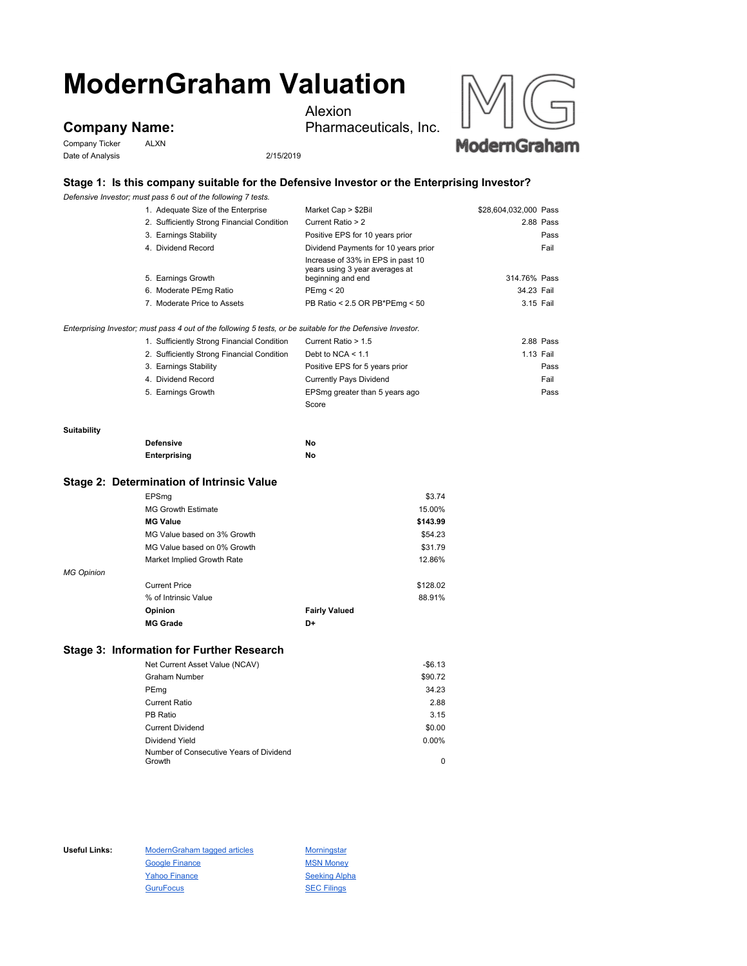# **ModernGraham Valuation**

## **Company Name:**

Company Ticker ALXN Date of Analysis 2/15/2019

Alexion

Pharmaceuticals, Inc.



### **Stage 1: Is this company suitable for the Defensive Investor or the Enterprising Investor?**

*Defensive Investor; must pass 6 out of the following 7 tests.*

|                    | 1. Adequate Size of the Enterprise                                                                          | Market Cap > \$2Bil                                                 | \$28,604,032,000 Pass |
|--------------------|-------------------------------------------------------------------------------------------------------------|---------------------------------------------------------------------|-----------------------|
|                    | 2. Sufficiently Strong Financial Condition                                                                  | Current Ratio > 2                                                   | 2.88 Pass             |
|                    | 3. Earnings Stability                                                                                       | Positive EPS for 10 years prior                                     | Pass                  |
|                    | 4. Dividend Record                                                                                          | Dividend Payments for 10 years prior                                | Fail                  |
|                    |                                                                                                             | Increase of 33% in EPS in past 10<br>years using 3 year averages at |                       |
|                    | 5. Earnings Growth                                                                                          | beginning and end                                                   | 314.76% Pass          |
|                    | 6. Moderate PEmg Ratio                                                                                      | PEmq < 20                                                           | 34.23 Fail            |
|                    | 7. Moderate Price to Assets                                                                                 | PB Ratio < 2.5 OR PB*PEmg < 50                                      | 3.15 Fail             |
|                    | Enterprising Investor; must pass 4 out of the following 5 tests, or be suitable for the Defensive Investor. |                                                                     |                       |
|                    | 1. Sufficiently Strong Financial Condition                                                                  | Current Ratio > 1.5                                                 | 2.88 Pass             |
|                    | 2. Sufficiently Strong Financial Condition                                                                  | Debt to NCA $\leq 1.1$                                              | 1.13 Fail             |
|                    | 3. Earnings Stability                                                                                       | Positive EPS for 5 years prior                                      | Pass                  |
|                    | 4. Dividend Record                                                                                          | <b>Currently Pays Dividend</b>                                      | Fail                  |
|                    | 5. Earnings Growth                                                                                          | EPSmg greater than 5 years ago                                      | Pass                  |
|                    |                                                                                                             | Score                                                               |                       |
| <b>Suitability</b> |                                                                                                             |                                                                     |                       |
|                    | <b>Defensive</b>                                                                                            | No                                                                  |                       |
|                    | Enterprising                                                                                                | No                                                                  |                       |
|                    | Stage 2: Determination of Intrinsic Value                                                                   |                                                                     |                       |
|                    | EPSmg                                                                                                       | \$3.74                                                              |                       |
|                    | <b>MG Growth Estimate</b>                                                                                   | 15.00%                                                              |                       |
|                    | <b>MG Value</b>                                                                                             | \$143.99                                                            |                       |
|                    | MG Value based on 3% Growth                                                                                 | \$54.23                                                             |                       |
|                    | MG Value based on 0% Growth                                                                                 | \$31.79                                                             |                       |
|                    | Market Implied Growth Rate                                                                                  | 12.86%                                                              |                       |
| <b>MG Opinion</b>  |                                                                                                             |                                                                     |                       |
|                    | <b>Current Price</b>                                                                                        | \$128.02                                                            |                       |

| <b>UUILUILIIUU</b><br>% of Intrinsic Value |                      | ------<br>88.91% |
|--------------------------------------------|----------------------|------------------|
| <b>Opinion</b>                             | <b>Fairly Valued</b> |                  |
| <b>MG Grade</b>                            | D+                   |                  |

#### **Stage 3: Information for Further Research**

| Net Current Asset Value (NCAV)                    | $-$6.13$ |
|---------------------------------------------------|----------|
| <b>Graham Number</b>                              | \$90.72  |
| PEmg                                              | 34.23    |
| <b>Current Ratio</b>                              | 2.88     |
| PB Ratio                                          | 3.15     |
| <b>Current Dividend</b>                           | \$0.00   |
| Dividend Yield                                    | $0.00\%$ |
| Number of Consecutive Years of Dividend<br>Growth | 0        |
|                                                   |          |

Useful Links: ModernGraham tagged articles Morningstar Google Finance MSN Money Yahoo Finance Seeking Alpha GuruFocus **SEC Filings**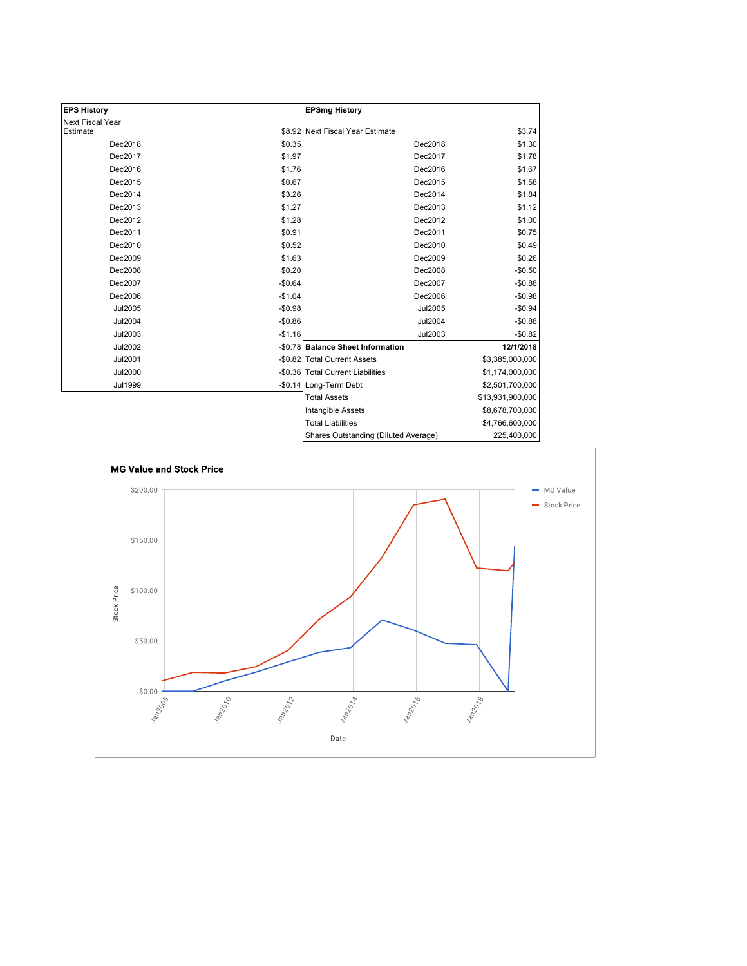| <b>EPS History</b> |          | <b>EPSmg History</b>                 |                  |
|--------------------|----------|--------------------------------------|------------------|
| Next Fiscal Year   |          |                                      |                  |
| Estimate           |          | \$8.92 Next Fiscal Year Estimate     | \$3.74           |
| Dec2018            | \$0.35   | Dec2018                              | \$1.30           |
| Dec2017            | \$1.97   | Dec2017                              | \$1.78           |
| Dec2016            | \$1.76   | Dec2016                              | \$1.67           |
| Dec2015            | \$0.67   | Dec2015                              | \$1.58           |
| Dec2014            | \$3.26   | Dec2014                              | \$1.84           |
| Dec2013            | \$1.27   | Dec2013                              | \$1.12           |
| Dec2012            | \$1.28   | Dec2012                              | \$1.00           |
| Dec2011            | \$0.91   | Dec2011                              | \$0.75           |
| Dec2010            | \$0.52   | Dec2010                              | \$0.49           |
| Dec2009            | \$1.63   | Dec2009                              | \$0.26           |
| Dec2008            | \$0.20   | Dec2008                              | $-$0.50$         |
| Dec2007            | $-$0.64$ | Dec2007                              | $-$0.88$         |
| Dec2006            | $-$1.04$ | Dec2006                              | $-$0.98$         |
| Jul2005            | $-$0.98$ | Jul2005                              | $-$0.94$         |
| <b>Jul2004</b>     | $-$0.86$ | <b>Jul2004</b>                       | $-$0.88$         |
| Jul2003            | $-$1.16$ | Jul2003                              | $-$0.82$         |
| Jul2002            |          | -\$0.78 Balance Sheet Information    | 12/1/2018        |
| Jul2001            |          | -\$0.82 Total Current Assets         | \$3,385,000,000  |
| <b>Jul2000</b>     |          | -\$0.36 Total Current Liabilities    | \$1,174,000,000  |
| <b>Jul1999</b>     |          | -\$0.14 Long-Term Debt               | \$2,501,700,000  |
|                    |          | <b>Total Assets</b>                  | \$13,931,900,000 |
|                    |          | Intangible Assets                    | \$8,678,700,000  |
|                    |          | <b>Total Liabilities</b>             | \$4,766,600,000  |
|                    |          | Shares Outstanding (Diluted Average) | 225,400,000      |